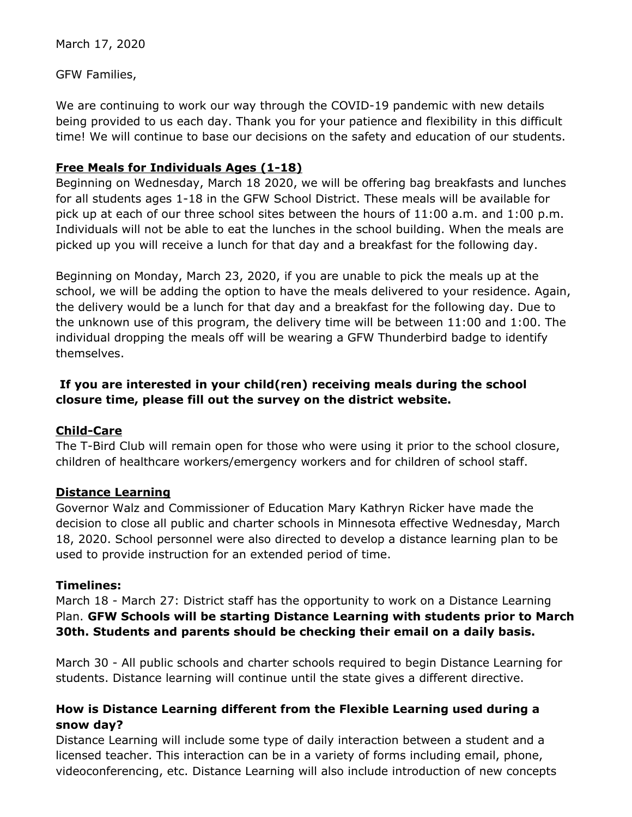March 17, 2020

GFW Families,

We are continuing to work our way through the COVID-19 pandemic with new details being provided to us each day. Thank you for your patience and flexibility in this difficult time! We will continue to base our decisions on the safety and education of our students.

### **Free Meals for Individuals Ages (1-18)**

Beginning on Wednesday, March 18 2020, we will be offering bag breakfasts and lunches for all students ages 1-18 in the GFW School District. These meals will be available for pick up at each of our three school sites between the hours of 11:00 a.m. and 1:00 p.m. Individuals will not be able to eat the lunches in the school building. When the meals are picked up you will receive a lunch for that day and a breakfast for the following day.

Beginning on Monday, March 23, 2020, if you are unable to pick the meals up at the school, we will be adding the option to have the meals delivered to your residence. Again, the delivery would be a lunch for that day and a breakfast for the following day. Due to the unknown use of this program, the delivery time will be between 11:00 and 1:00. The individual dropping the meals off will be wearing a GFW Thunderbird badge to identify themselves.

# **If you are interested in your child(ren) receiving meals during the school closure time, please fill out the survey on the district website.**

### **Child-Care**

The T-Bird Club will remain open for those who were using it prior to the school closure, children of healthcare workers/emergency workers and for children of school staff.

### **Distance Learning**

Governor Walz and Commissioner of Education Mary Kathryn Ricker have made the decision to close all public and charter schools in Minnesota effective Wednesday, March 18, 2020. School personnel were also directed to develop a distance learning plan to be used to provide instruction for an extended period of time.

### **Timelines:**

March 18 - March 27: District staff has the opportunity to work on a Distance Learning Plan. **GFW Schools will be starting Distance Learning with students prior to March 30th. Students and parents should be checking their email on a daily basis.**

March 30 - All public schools and charter schools required to begin Distance Learning for students. Distance learning will continue until the state gives a different directive.

# **How is Distance Learning different from the Flexible Learning used during a snow day?**

Distance Learning will include some type of daily interaction between a student and a licensed teacher. This interaction can be in a variety of forms including email, phone, videoconferencing, etc. Distance Learning will also include introduction of new concepts